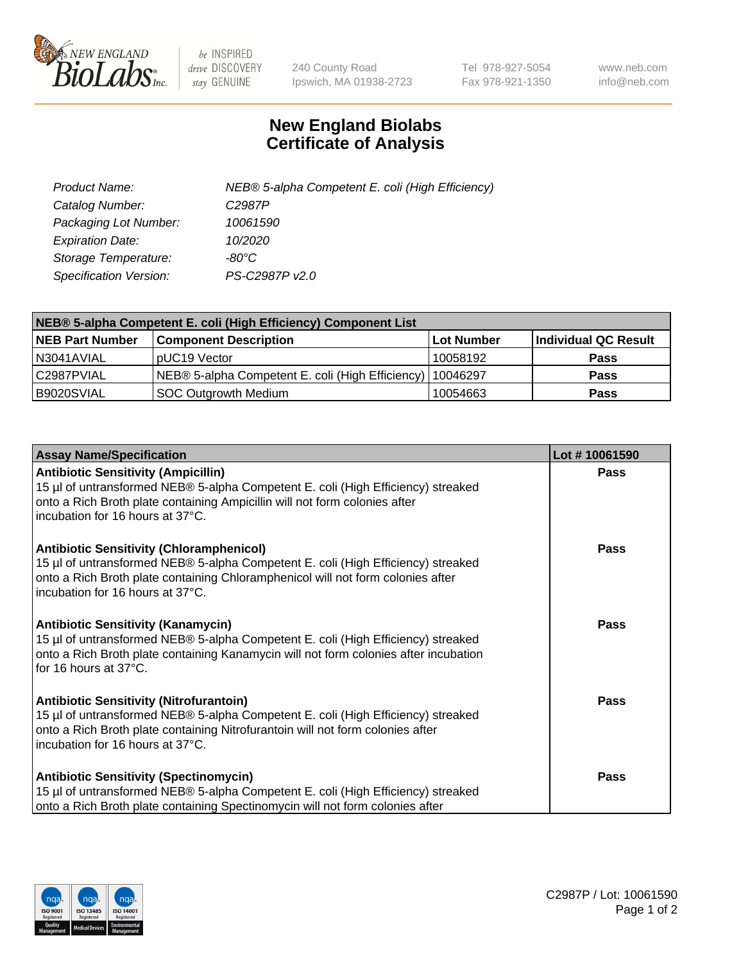

 $be$  INSPIRED drive DISCOVERY stay GENUINE

240 County Road Ipswich, MA 01938-2723 Tel 978-927-5054 Fax 978-921-1350 www.neb.com info@neb.com

## **New England Biolabs Certificate of Analysis**

| Product Name:                 | NEB® 5-alpha Competent E. coli (High Efficiency) |
|-------------------------------|--------------------------------------------------|
| Catalog Number:               | C <sub>2987</sub> P                              |
| Packaging Lot Number:         | 10061590                                         |
| <b>Expiration Date:</b>       | 10/2020                                          |
| Storage Temperature:          | -80°C                                            |
| <b>Specification Version:</b> | PS-C2987P v2.0                                   |

| NEB® 5-alpha Competent E. coli (High Efficiency) Component List |                                                  |            |                      |  |
|-----------------------------------------------------------------|--------------------------------------------------|------------|----------------------|--|
| <b>NEB Part Number</b>                                          | <b>Component Description</b>                     | Lot Number | Individual QC Result |  |
| N3041AVIAL                                                      | pUC19 Vector                                     | 10058192   | <b>Pass</b>          |  |
| C2987PVIAL                                                      | NEB® 5-alpha Competent E. coli (High Efficiency) | l 10046297 | <b>Pass</b>          |  |
| B9020SVIAL                                                      | <b>SOC Outgrowth Medium</b>                      | 10054663   | <b>Pass</b>          |  |

| <b>Assay Name/Specification</b>                                                                                                                                                                                                                            | Lot #10061590 |
|------------------------------------------------------------------------------------------------------------------------------------------------------------------------------------------------------------------------------------------------------------|---------------|
| <b>Antibiotic Sensitivity (Ampicillin)</b><br>15 µl of untransformed NEB® 5-alpha Competent E. coli (High Efficiency) streaked<br>onto a Rich Broth plate containing Ampicillin will not form colonies after<br>incubation for 16 hours at 37°C.           | Pass          |
| <b>Antibiotic Sensitivity (Chloramphenicol)</b><br>15 µl of untransformed NEB® 5-alpha Competent E. coli (High Efficiency) streaked<br>onto a Rich Broth plate containing Chloramphenicol will not form colonies after<br>incubation for 16 hours at 37°C. | Pass          |
| <b>Antibiotic Sensitivity (Kanamycin)</b><br>15 µl of untransformed NEB® 5-alpha Competent E. coli (High Efficiency) streaked<br>onto a Rich Broth plate containing Kanamycin will not form colonies after incubation<br>for 16 hours at 37°C.             | Pass          |
| <b>Antibiotic Sensitivity (Nitrofurantoin)</b><br>15 µl of untransformed NEB® 5-alpha Competent E. coli (High Efficiency) streaked<br>onto a Rich Broth plate containing Nitrofurantoin will not form colonies after<br>incubation for 16 hours at 37°C.   | <b>Pass</b>   |
| <b>Antibiotic Sensitivity (Spectinomycin)</b><br>15 µl of untransformed NEB® 5-alpha Competent E. coli (High Efficiency) streaked<br>onto a Rich Broth plate containing Spectinomycin will not form colonies after                                         | Pass          |